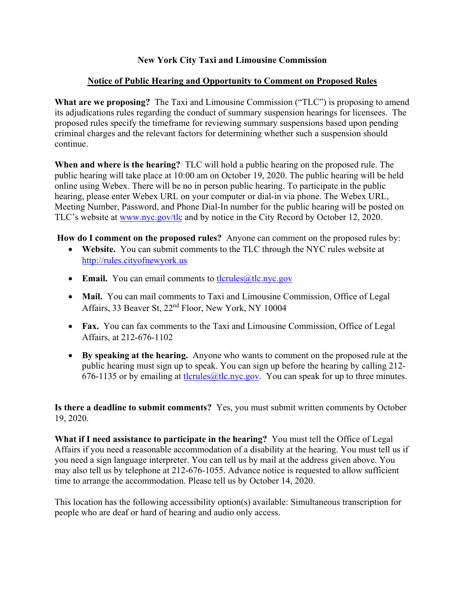# **New York City Taxi and Limousine Commission**

# **Notice of Public Hearing and Opportunity to Comment on Proposed Rules**

**What are we proposing?** The Taxi and Limousine Commission ("TLC") is proposing to amend its adjudications rules regarding the conduct of summary suspension hearings for licensees. The proposed rules specify the timeframe for reviewing summary suspensions based upon pending criminal charges and the relevant factors for determining whether such a suspension should continue.

**When and where is the hearing?** TLC will hold a public hearing on the proposed rule. The public hearing will take place at 10:00 am on October 19, 2020. The public hearing will be held online using Webex. There will be no in person public hearing. To participate in the public hearing, please enter Webex URL on your computer or dial-in via phone. The Webex URL, Meeting Number, Password, and Phone Dial-In number for the public hearing will be posted on TLC's website at www.nyc.gov/tlc and by notice in the City Record by October 12, 2020.

**How do I comment on the proposed rules?** Anyone can comment on the proposed rules by:

- **Website.** You can submit comments to the TLC through the NYC rules website at http://rules.cityofnewyork.us
- Email. You can email comments to the enderstance gov
- **Mail.** You can mail comments to Taxi and Limousine Commission, Office of Legal Affairs, 33 Beaver St, 22nd Floor, New York, NY 10004
- **Fax.** You can fax comments to the Taxi and Limousine Commission, Office of Legal Affairs, at 212-676-1102
- **By speaking at the hearing.** Anyone who wants to comment on the proposed rule at the public hearing must sign up to speak. You can sign up before the hearing by calling 212- 676-1135 or by emailing at the term  $\omega$ the  $\omega$  v. You can speak for up to three minutes.

**Is there a deadline to submit comments?** Yes, you must submit written comments by October 19, 2020.

**What if I need assistance to participate in the hearing?** You must tell the Office of Legal Affairs if you need a reasonable accommodation of a disability at the hearing. You must tell us if you need a sign language interpreter. You can tell us by mail at the address given above. You may also tell us by telephone at 212-676-1055. Advance notice is requested to allow sufficient time to arrange the accommodation. Please tell us by October 14, 2020.

This location has the following accessibility option(s) available: Simultaneous transcription for people who are deaf or hard of hearing and audio only access.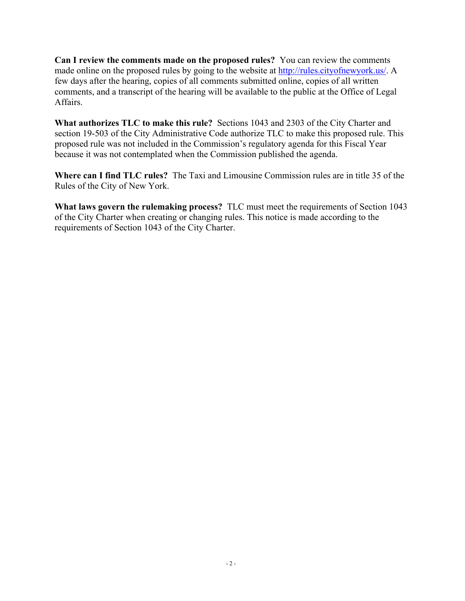**Can I review the comments made on the proposed rules?** You can review the comments made online on the proposed rules by going to the website at http://rules.cityofnewyork.us/. A few days after the hearing, copies of all comments submitted online, copies of all written comments, and a transcript of the hearing will be available to the public at the Office of Legal Affairs.

**What authorizes TLC to make this rule?** Sections 1043 and 2303 of the City Charter and section 19-503 of the City Administrative Code authorize TLC to make this proposed rule. This proposed rule was not included in the Commission's regulatory agenda for this Fiscal Year because it was not contemplated when the Commission published the agenda.

**Where can I find TLC rules?** The Taxi and Limousine Commission rules are in title 35 of the Rules of the City of New York.

**What laws govern the rulemaking process?** TLC must meet the requirements of Section 1043 of the City Charter when creating or changing rules. This notice is made according to the requirements of Section 1043 of the City Charter.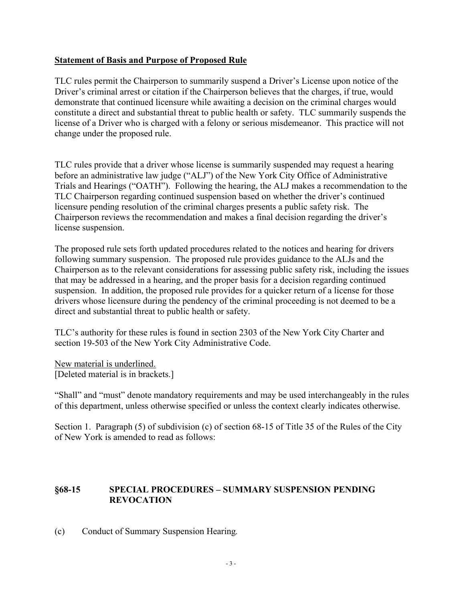## **Statement of Basis and Purpose of Proposed Rule**

TLC rules permit the Chairperson to summarily suspend a Driver's License upon notice of the Driver's criminal arrest or citation if the Chairperson believes that the charges, if true, would demonstrate that continued licensure while awaiting a decision on the criminal charges would constitute a direct and substantial threat to public health or safety. TLC summarily suspends the license of a Driver who is charged with a felony or serious misdemeanor. This practice will not change under the proposed rule.

TLC rules provide that a driver whose license is summarily suspended may request a hearing before an administrative law judge ("ALJ") of the New York City Office of Administrative Trials and Hearings ("OATH"). Following the hearing, the ALJ makes a recommendation to the TLC Chairperson regarding continued suspension based on whether the driver's continued licensure pending resolution of the criminal charges presents a public safety risk. The Chairperson reviews the recommendation and makes a final decision regarding the driver's license suspension.

The proposed rule sets forth updated procedures related to the notices and hearing for drivers following summary suspension. The proposed rule provides guidance to the ALJs and the Chairperson as to the relevant considerations for assessing public safety risk, including the issues that may be addressed in a hearing, and the proper basis for a decision regarding continued suspension. In addition, the proposed rule provides for a quicker return of a license for those drivers whose licensure during the pendency of the criminal proceeding is not deemed to be a direct and substantial threat to public health or safety.

TLC's authority for these rules is found in section 2303 of the New York City Charter and section 19-503 of the New York City Administrative Code.

New material is underlined. [Deleted material is in brackets.]

"Shall" and "must" denote mandatory requirements and may be used interchangeably in the rules of this department, unless otherwise specified or unless the context clearly indicates otherwise.

Section 1. Paragraph (5) of subdivision (c) of section 68-15 of Title 35 of the Rules of the City of New York is amended to read as follows:

# **§68-15 SPECIAL PROCEDURES – SUMMARY SUSPENSION PENDING REVOCATION**

(c) Conduct of Summary Suspension Hearing*.*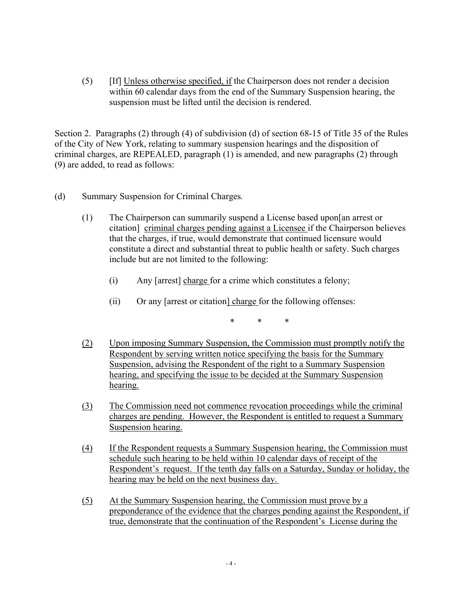(5) [If] Unless otherwise specified, if the Chairperson does not render a decision within 60 calendar days from the end of the Summary Suspension hearing, the suspension must be lifted until the decision is rendered.

Section 2. Paragraphs (2) through (4) of subdivision (d) of section 68-15 of Title 35 of the Rules of the City of New York, relating to summary suspension hearings and the disposition of criminal charges, are REPEALED, paragraph (1) is amended, and new paragraphs (2) through (9) are added, to read as follows:

- (d) Summary Suspension for Criminal Charges*.*
	- (1) The Chairperson can summarily suspend a License based upon[an arrest or citation] criminal charges pending against a Licensee if the Chairperson believes that the charges, if true, would demonstrate that continued licensure would constitute a direct and substantial threat to public health or safety. Such charges include but are not limited to the following:
		- (i) Any [arrest] charge for a crime which constitutes a felony;
		- (ii) Or any [arrest or citation] charge for the following offenses:

\* \* \*

- (2) Upon imposing Summary Suspension, the Commission must promptly notify the Respondent by serving written notice specifying the basis for the Summary Suspension, advising the Respondent of the right to a Summary Suspension hearing, and specifying the issue to be decided at the Summary Suspension hearing.
- (3) The Commission need not commence revocation proceedings while the criminal charges are pending. However, the Respondent is entitled to request a Summary Suspension hearing.
- (4) If the Respondent requests a Summary Suspension hearing, the Commission must schedule such hearing to be held within 10 calendar days of receipt of the Respondent's request. If the tenth day falls on a Saturday, Sunday or holiday, the hearing may be held on the next business day.
- (5) At the Summary Suspension hearing, the Commission must prove by a preponderance of the evidence that the charges pending against the Respondent, if true, demonstrate that the continuation of the Respondent's License during the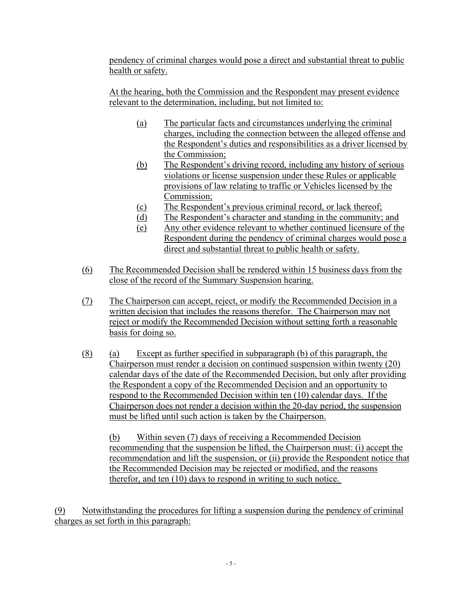pendency of criminal charges would pose a direct and substantial threat to public health or safety.

At the hearing, both the Commission and the Respondent may present evidence relevant to the determination, including, but not limited to:

- (a) The particular facts and circumstances underlying the criminal charges, including the connection between the alleged offense and the Respondent's duties and responsibilities as a driver licensed by the Commission;
- (b) The Respondent's driving record, including any history of serious violations or license suspension under these Rules or applicable provisions of law relating to traffic or Vehicles licensed by the Commission;
- (c) The Respondent's previous criminal record, or lack thereof;
- (d) The Respondent's character and standing in the community; and
- (e) Any other evidence relevant to whether continued licensure of the Respondent during the pendency of criminal charges would pose a direct and substantial threat to public health or safety.
- (6) The Recommended Decision shall be rendered within 15 business days from the close of the record of the Summary Suspension hearing.
- (7) The Chairperson can accept, reject, or modify the Recommended Decision in a written decision that includes the reasons therefor. The Chairperson may not reject or modify the Recommended Decision without setting forth a reasonable basis for doing so.
- (8) (a) Except as further specified in subparagraph (b) of this paragraph, the Chairperson must render a decision on continued suspension within twenty (20) calendar days of the date of the Recommended Decision, but only after providing the Respondent a copy of the Recommended Decision and an opportunity to respond to the Recommended Decision within ten (10) calendar days. If the Chairperson does not render a decision within the 20-day period, the suspension must be lifted until such action is taken by the Chairperson.

(b) Within seven (7) days of receiving a Recommended Decision recommending that the suspension be lifted, the Chairperson must: (i) accept the recommendation and lift the suspension, or (ii) provide the Respondent notice that the Recommended Decision may be rejected or modified, and the reasons therefor, and ten (10) days to respond in writing to such notice.

(9) Notwithstanding the procedures for lifting a suspension during the pendency of criminal charges as set forth in this paragraph: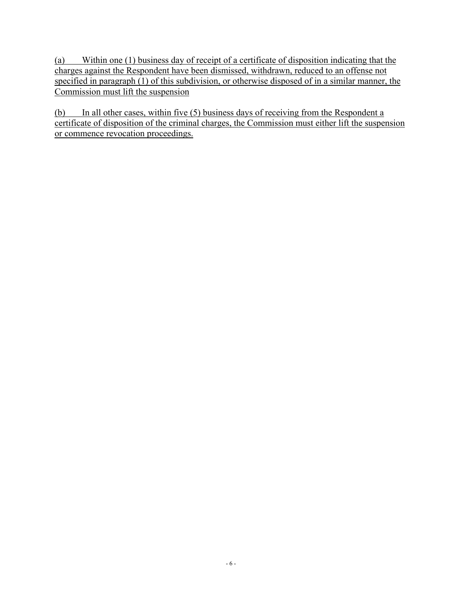(a) Within one (1) business day of receipt of a certificate of disposition indicating that the charges against the Respondent have been dismissed, withdrawn, reduced to an offense not specified in paragraph (1) of this subdivision, or otherwise disposed of in a similar manner, the Commission must lift the suspension

(b) In all other cases, within five (5) business days of receiving from the Respondent a certificate of disposition of the criminal charges, the Commission must either lift the suspension or commence revocation proceedings.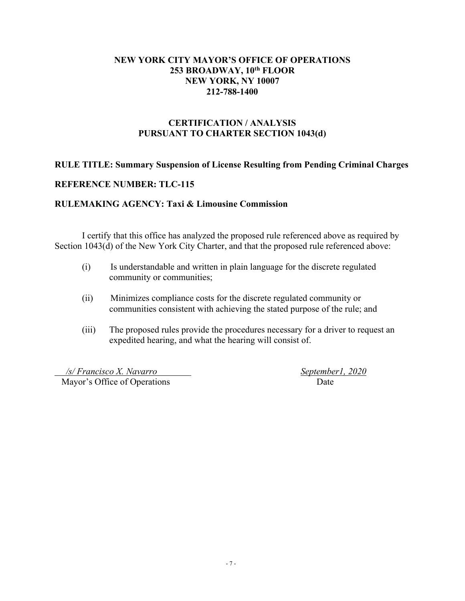## **NEW YORK CITY MAYOR'S OFFICE OF OPERATIONS 253 BROADWAY, 10th FLOOR NEW YORK, NY 10007 212-788-1400**

# **CERTIFICATION / ANALYSIS PURSUANT TO CHARTER SECTION 1043(d)**

## **RULE TITLE: Summary Suspension of License Resulting from Pending Criminal Charges**

## **REFERENCE NUMBER: TLC-115**

#### **RULEMAKING AGENCY: Taxi & Limousine Commission**

I certify that this office has analyzed the proposed rule referenced above as required by Section 1043(d) of the New York City Charter, and that the proposed rule referenced above:

- (i) Is understandable and written in plain language for the discrete regulated community or communities;
- (ii) Minimizes compliance costs for the discrete regulated community or communities consistent with achieving the stated purpose of the rule; and
- (iii) The proposed rules provide the procedures necessary for a driver to request an expedited hearing, and what the hearing will consist of.

 */s/ Francisco X. Navarro September1, 2020* Mayor's Office of Operations Date